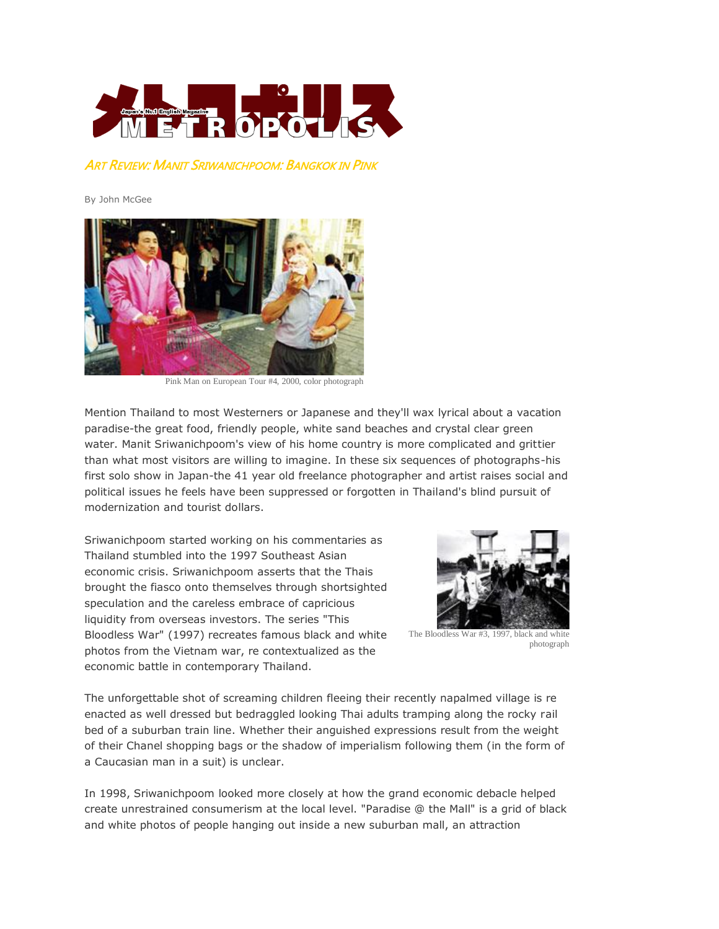

ART REVIEW: MANIT SRIWANICHPOOM: BANGKOK IN PINK

By John McGee



Pink Man on European Tour #4, 2000, color photograph

Mention Thailand to most Westerners or Japanese and they'll wax lyrical about a vacation paradise-the great food, friendly people, white sand beaches and crystal clear green water. Manit Sriwanichpoom's view of his home country is more complicated and grittier than what most visitors are willing to imagine. In these six sequences of photographs-his first solo show in Japan-the 41 year old freelance photographer and artist raises social and political issues he feels have been suppressed or forgotten in Thailand's blind pursuit of modernization and tourist dollars.

Sriwanichpoom started working on his commentaries as Thailand stumbled into the 1997 Southeast Asian economic crisis. Sriwanichpoom asserts that the Thais brought the fiasco onto themselves through shortsighted speculation and the careless embrace of capricious liquidity from overseas investors. The series "This Bloodless War" (1997) recreates famous black and white photos from the Vietnam war, re contextualized as the economic battle in contemporary Thailand.



The Bloodless War #3, 1997, black and white photograph

The unforgettable shot of screaming children fleeing their recently napalmed village is re enacted as well dressed but bedraggled looking Thai adults tramping along the rocky rail bed of a suburban train line. Whether their anguished expressions result from the weight of their Chanel shopping bags or the shadow of imperialism following them (in the form of a Caucasian man in a suit) is unclear.

In 1998, Sriwanichpoom looked more closely at how the grand economic debacle helped create unrestrained consumerism at the local level. "Paradise @ the Mall" is a grid of black and white photos of people hanging out inside a new suburban mall, an attraction